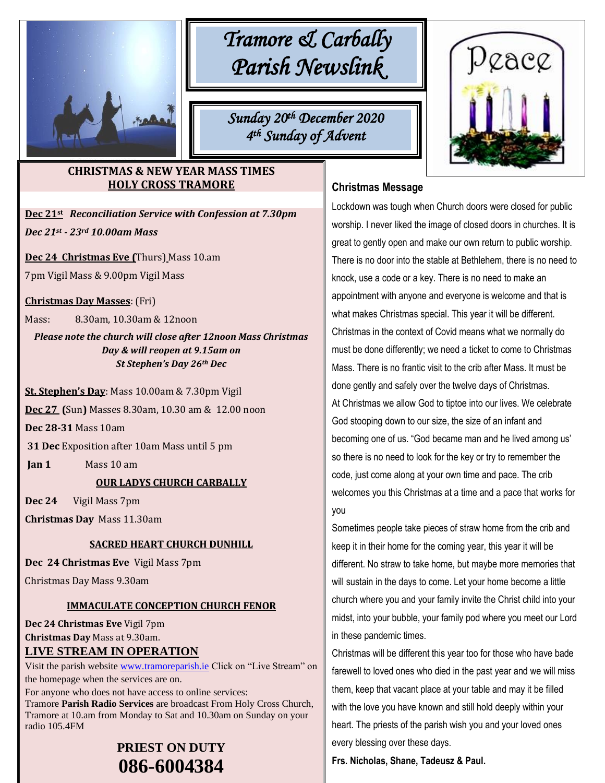

# *Tramore & Carbally Parish Newslink*

*Sunday 20th December 2020 4 th Sunday of Advent* 

# **CHRISTMAS & NEW YEAR MASS TIMES HOLY CROSS TRAMORE**

**Dec 21st** *Reconciliation Service with Confession at 7.30pm Dec 21st - 23rd 10.00am Mass*

**Dec 24 Christmas Eve (**Thurs) Mass 10.am

7pm Vigil Mass & 9.00pm Vigil Mass

**Christmas Day Masses**: (Fri)

Mass: 8.30am, 10.30am & 12noon

*Please note the church will close after 12noon Mass Christmas Day & will reopen at 9.15am on St Stephen's Day 26th Dec*

**St. Stephen's Day**: Mass 10.00am & 7.30pm Vigil

` **Dec 27 (**Sun**)** Masses 8.30am, 10.30 am & 12.00 noon

**Dec 28-31** Mass 10am

**31 Dec** Exposition after 10am Mass until 5 pm

**Jan 1** Mass 10 am

### **OUR LADYS CHURCH CARBALLY**

**Dec 24** Vigil Mass 7pm

**Christmas Day** Mass 11.30am

# **SACRED HEART CHURCH DUNHILL**

**Dec 24 Christmas Eve** Vigil Mass 7pm

Christmas Day Mass 9.30am

### **IMMACULATE CONCEPTION CHURCH FENOR**

**Dec 24 Christmas Eve** Vigil 7pm **Christmas Day** Mass at 9.30am. **LIVE STREAM IN OPERATION**

Visit the parish website [www.tramoreparish.ie](http://www.tramoreparish.ie/) Click on "Live Stream" on the homepage when the services are on.

For anyone who does not have access to online services: Tramore **Parish Radio Services** are broadcast From Holy Cross Church, Tramore at 10.am from Monday to Sat and 10.30am on Sunday on your radio 105.4FM

# **PRIEST ON DUTY 086-6004384**



# **Christmas Message**

Lockdown was tough when Church doors were closed for public worship. I never liked the image of closed doors in churches. It is great to gently open and make our own return to public worship. There is no door into the stable at Bethlehem, there is no need to knock, use a code or a key. There is no need to make an appointment with anyone and everyone is welcome and that is what makes Christmas special. This year it will be different. Christmas in the context of Covid means what we normally do must be done differently; we need a ticket to come to Christmas Mass. There is no frantic visit to the crib after Mass. It must be done gently and safely over the twelve days of Christmas. At Christmas we allow God to tiptoe into our lives. We celebrate God stooping down to our size, the size of an infant and becoming one of us. "God became man and he lived among us' so there is no need to look for the key or try to remember the code, just come along at your own time and pace. The crib welcomes you this Christmas at a time and a pace that works for you

Sometimes people take pieces of straw home from the crib and keep it in their home for the coming year, this year it will be different. No straw to take home, but maybe more memories that will sustain in the days to come. Let your home become a little church where you and your family invite the Christ child into your midst, into your bubble, your family pod where you meet our Lord in these pandemic times.

Christmas will be different this year too for those who have bade farewell to loved ones who died in the past year and we will miss them, keep that vacant place at your table and may it be filled with the love you have known and still hold deeply within your heart. The priests of the parish wish you and your loved ones every blessing over these days.

**Frs. Nicholas, Shane, Tadeusz & Paul.**